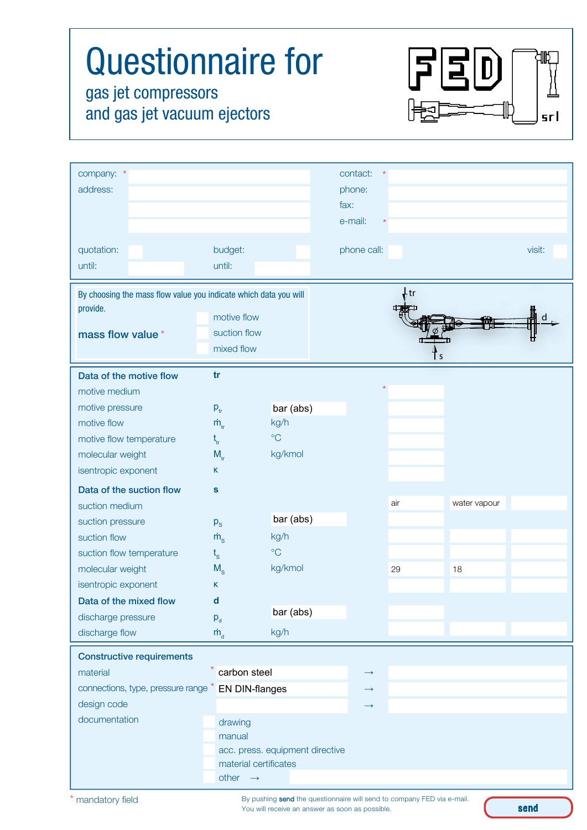| <b>Questionnaire for</b><br>gas jet compressors<br>and gas jet vacuum ejectors                   |                                           |                 |                                       |      |              | srl    |
|--------------------------------------------------------------------------------------------------|-------------------------------------------|-----------------|---------------------------------------|------|--------------|--------|
| company: *<br>address:                                                                           |                                           |                 | contact:<br>phone:<br>fax:<br>e-mail: |      |              |        |
| quotation:<br>until:                                                                             | budget:<br>until:                         |                 | phone call:                           |      |              | visit: |
| By choosing the mass flow value you indicate which data you will<br>provide.<br>mass flow value* | motive flow<br>suction flow<br>mixed flow |                 |                                       | , tr |              |        |
| Data of the motive flow<br>motive medium                                                         | tr                                        |                 |                                       |      |              |        |
| motive pressure                                                                                  | $p_{tr}$                                  | bar (abs)       |                                       |      |              |        |
| motive flow                                                                                      | $\dot{m}_{\rm tr}$                        | kg/h            |                                       |      |              |        |
| motive flow temperature                                                                          |                                           | $\rm ^{\circ}C$ |                                       |      |              |        |
| molecular weight                                                                                 | $M_{tr}$                                  | kg/kmol         |                                       |      |              |        |
| isentropic exponent                                                                              | K                                         |                 |                                       |      |              |        |
| Data of the suction flow                                                                         | ${\bf s}$                                 |                 |                                       |      |              |        |
| suction medium                                                                                   |                                           |                 |                                       | air  | water vapour |        |
| suction pressure                                                                                 | $p_{s}$                                   | bar (abs)       |                                       |      |              |        |
| suction flow                                                                                     | $\dot{m}$ <sub>s</sub>                    | kg/h            |                                       |      |              |        |
| suction flow temperature                                                                         | $t_{\rm s}$                               | $\rm ^{\circ}C$ |                                       |      |              |        |
| molecular weight                                                                                 | $M_{S}$                                   | kg/kmol         |                                       | 29   | 18           |        |
| isentropic exponent                                                                              | Κ                                         |                 |                                       |      |              |        |
|                                                                                                  | d                                         | bar (abs)       |                                       |      |              |        |
| Data of the mixed flow                                                                           |                                           |                 |                                       |      |              |        |
| discharge pressure<br>discharge flow                                                             | $P_d$<br>$\dot{m}_{\rm d}$                | kg/h            |                                       |      |              |        |

| material                                           | carbon steel                    | $\rightarrow$     |  |  |  |
|----------------------------------------------------|---------------------------------|-------------------|--|--|--|
| connections, type, pressure range * EN DIN-flanges |                                 | $\longrightarrow$ |  |  |  |
| design code                                        |                                 | $\rightarrow$     |  |  |  |
| documentation                                      | drawing                         |                   |  |  |  |
|                                                    | manual                          |                   |  |  |  |
|                                                    | acc. press. equipment directive |                   |  |  |  |
|                                                    | material certificates           |                   |  |  |  |
|                                                    | other $\rightarrow$             |                   |  |  |  |

By pushing send the questionnaire will send to company FED via e-mail. You will receive an answer as soon as possible.